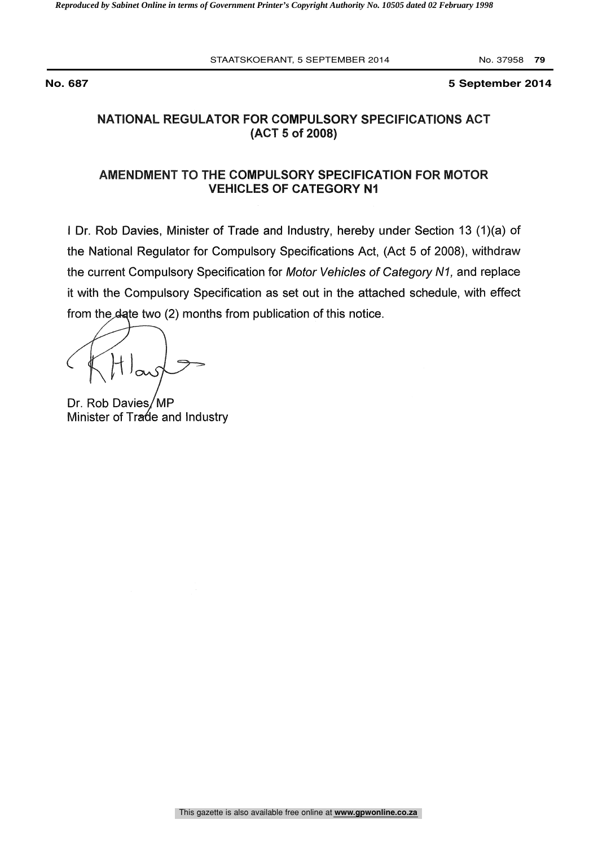**No. 687 5 September 2014**

# NATIONAL REGULATOR FOR COMPULSORY SPECIFICATIONS ACT (ACT 5 of 2008)

# AMENDMENT TO THE COMPULSORY SPECIFICATION FOR MOTOR VEHICLES OF CATEGORY NI

<sup>I</sup> Dr. Rob Davies, Minister of Trade and Industry, hereby under Section 13 (1)(a) of the National Regulator for Compulsory Specifications Act, (Act 5 of 2008), withdraw the current Compulsory Specification for Motor Vehicles of Category N1, and replace it with the Compulsory Specification as set out in the attached schedule, with effect I Dr. Rob Davies, Minister of Trade and Industry, hereby under<br>the National Regulator for Compulsory Specifications Act, (Act of<br>the current Compulsory Specification for *Motor Vehicles of Categ*<br>it with the Compulsory Spe

Dr. Rob Davies/MP Minister of Trade and Industry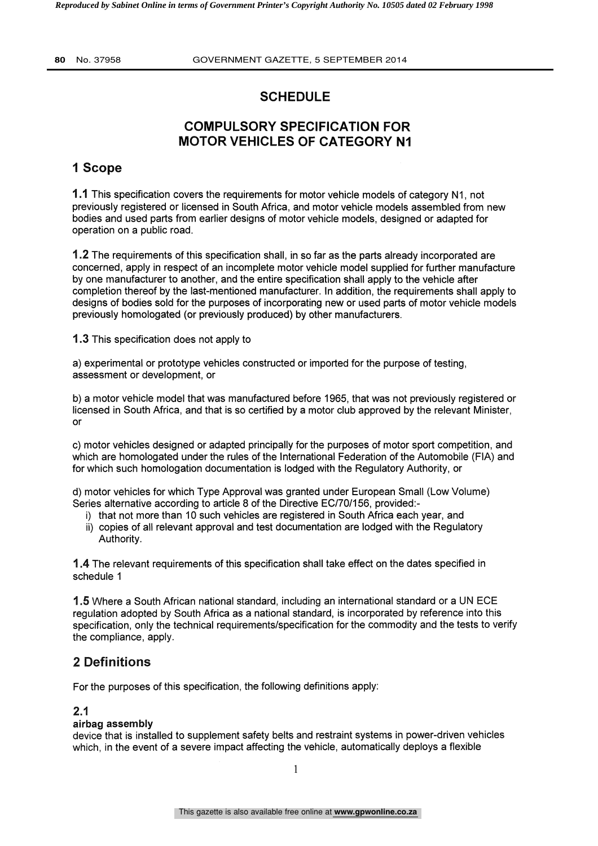# **SCHEDULE**

# COMPULSORY SPECIFICATION FOR MOTOR VEHICLES OF CATEGORY N1

# 1 Scope

1.1 This specification covers the requirements for motor vehicle models of category N1, not previously registered or licensed in South Africa, and motor vehicle models assembled from new bodies and used parts from earlier designs of motor vehicle models, designed or adapted for operation on a public road.

1.2 The requirements of this specification shall, in so far as the parts already incorporated are concerned, apply in respect of an incomplete motor vehicle model supplied for further manufacture by one manufacturer to another, and the entire specification shall apply to the vehicle after completion thereof by the last-mentioned manufacturer. In addition, the requirements shall apply to designs of bodies sold for the purposes of incorporating new or used parts of motor vehicle models previously homologated (or previously produced) by other manufacturers.

1.3 This specification does not apply to

a) experimental or prototype vehicles constructed or imported for the purpose of testing, assessment or development, or

b) a motor vehicle model that was manufactured before 1965, that was not previously registered or licensed in South Africa, and that is so certified by a motor club approved by the relevant Minister, or

c) motor vehicles designed or adapted principally for the purposes of motor sport competition, and which are homologated under the rules of the International Federation of the Automobile (FIA) and for which such homologation documentation is lodged with the Regulatory Authority, or

d) motor vehicles for which Type Approval was granted under European Small (Low Volume) Series alternative according to article 8 of the Directive EC/70/156, provided:-

- i) that not more than 10 such vehicles are registered in South Africa each year, and
- ii) copies of all relevant approval and test documentation are lodged with the Regulatory Authority.

1.4 The relevant requirements of this specification shall take effect on the dates specified in schedule 1

1.5 Where a South African national standard, including an international standard or a UN ECE regulation adopted by South Africa as a national standard, is incorporated by reference into this specification, only the technical requirements/specification for the commodity and the tests to verify the compliance, apply.

# 2 Definitions

For the purposes of this specification, the following definitions apply:

# 2.1

## airbag assembly

device that is installed to supplement safety belts and restraint systems in power-driven vehicles which, in the event of a severe impact affecting the vehicle, automatically deploys a flexible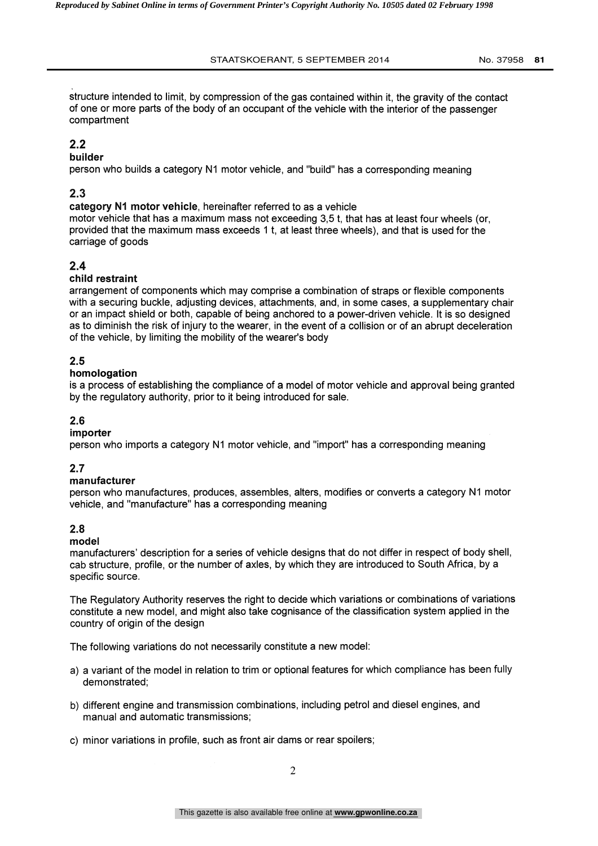structure intended to limit, by compression of the gas contained within it, the gravity of the contact of one or more parts of the body of an occupant of the vehicle with the interior of the passenger compartment

# 2.2

## builder

person who builds a category N1 motor vehicle, and "build" has a corresponding meaning

# 2.3

category NI motor vehicle, hereinafter referred to as a vehicle motor vehicle that has a maximum mass not exceeding 3,5 t, that has at least four wheels (or, provided that the maximum mass exceeds 1 t, at least three wheels), and that is used for the carriage of goods

# 2.4

## child restraint

arrangement of components which may comprise a combination of straps or flexible components with a securing buckle, adjusting devices, attachments, and, in some cases, a supplementary chair or an impact shield or both, capable of being anchored to a power-driven vehicle. It is so designed as to diminish the risk of injury to the wearer, in the event of a collision or of an abrupt deceleration of the vehicle, by limiting the mobility of the wearer's body

## 2.5

#### homologation

is a process of establishing the compliance of a model of motor vehicle and approval being granted by the regulatory authority, prior to it being introduced for sale.

## 2.6

#### importer

person who imports a category N1 motor vehicle, and "import" has a corresponding meaning

#### 2.7

#### manufacturer

person who manufactures, produces, assembles, alters, modifies or converts a category N1 motor vehicle, and "manufacture" has a corresponding meaning

#### 2.8

#### model

manufacturers' description for a series of vehicle designs that do not differ in respect of body shell, cab structure, profile, or the number of axles, by which they are introduced to South Africa, by a specific source.

The Regulatory Authority reserves the right to decide which variations or combinations of variations constitute a new model, and might also take cognisance of the classification system applied in the country of origin of the design

The following variations do not necessarily constitute a new model:

- a) a variant of the model in relation to trim or optional features for which compliance has been fully demonstrated;
- b) different engine and transmission combinations, including petrol and diesel engines, and manual and automatic transmissions;
- c) minor variations in profile, such as front air dams or rear spoilers;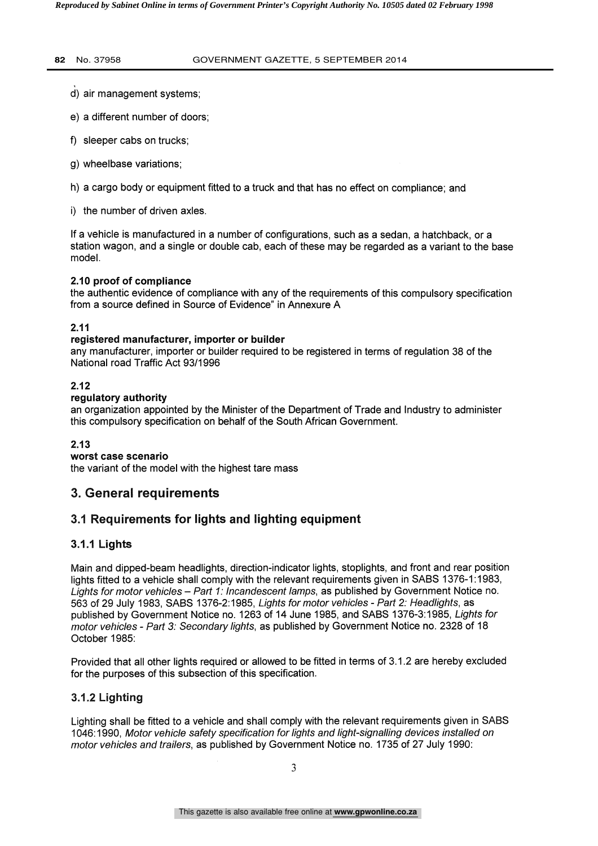- d) air management systems;
- e) a different number of doors;
- f) sleeper cabs on trucks;
- g) wheelbase variations;
- h) a cargo body or equipment fitted to a truck and that has no effect on compliance; and
- i) the number of driven axles.

If a vehicle is manufactured in a number of configurations, such as a sedan, a hatchback, or a station wagon, and a single or double cab, each of these may be regarded as a variant to the base model.

#### 2.10 proof of compliance

the authentic evidence of compliance with any of the requirements of this compulsory specification from a source defined in Source of Evidence" in Annexure A

#### 2.11

#### registered manufacturer, importer or builder

any manufacturer, importer or builder required to be registered in terms of regulation 38 of the National road Traffic Act 93/1996

#### 2.12

#### regulatory authority

an organization appointed by the Minister of the Department of Trade and Industry to administer this compulsory specification on behalf of the South African Government.

#### 2.13

worst case scenario

the variant of the model with the highest tare mass

# 3. General requirements

# 3.1 Requirements for lights and lighting equipment

## 3.1.1 Lights

Main and dipped-beam headlights, direction-indicator lights, stoplights, and front and rear position lights fitted to a vehicle shall comply with the relevant requirements given in SABS 1376-1:1983, Lights for motor vehicles - Part 1: Incandescent lamps, as published by Government Notice no. 563 of 29 July 1983, SABS 1376-2:1985, Lights for motor vehicles - Part 2: Headlights, as published by Government Notice no. 1263 of 14 June 1985, and SABS 1376-3:1985, Lights for motor vehicles - Part 3: Secondary lights, as published by Government Notice no. 2328 of 18 October 1985:

Provided that all other lights required or allowed to be fitted in terms of 3.1.2 are hereby excluded for the purposes of this subsection of this specification.

## 3.1.2 Lighting

Lighting shall be fitted to a vehicle and shall comply with the relevant requirements given in SABS 1046:1990, Motor vehicle safety specification for lights and light-signalling devices installed on motor vehicles and trailers, as published by Government Notice no. 1735 of 27 July 1990: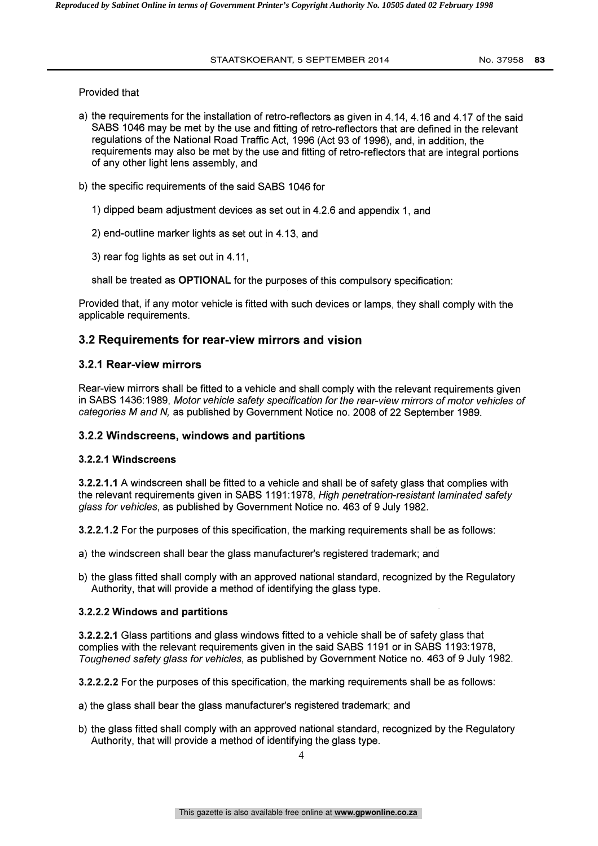Provided that

- a) the requirements for the installation of retro-reflectors as given in 4.14, 4.16 and 4.17 of the said SABS 1046 may be met by the use and fitting of retro-reflectors that are defined in the relevant regulations of the National Road Traffic Act, 1996 (Act 93 of 1996), and, in addition, the requirements may also be met by the use and fitting of retro-reflectors that are integral portions of any other light lens assembly, and
- b) the specific requirements of the said SABS 1046 for
	- 1) dipped beam adjustment devices as set out in 4.2.6 and appendix 1, and
	- 2) end-outline marker lights as set out in 4.13, and

3) rear fog lights as set out in 4.11,

shall be treated as OPTIONAL for the purposes of this compulsory specification:

Provided that, if any motor vehicle is fitted with such devices or lamps, they shall comply with the applicable requirements.

## 3.2 Requirements for rear-view mirrors and vision

#### 3.2.1 Rear-view mirrors

Rear-view mirrors shall be fitted to a vehicle and shall comply with the relevant requirements given in SABS 1436:1989, Motor vehicle safety specification for the rear-view mirrors of motor vehicles of categories M and N, as published by Government Notice no. 2008 of 22 September 1989.

#### 3.2.2 Windscreens, windows and partitions

#### 3.2.2.1 Windscreens

3.2.2.1.1 A windscreen shall be fitted to a vehicle and shall be of safety glass that complies with the relevant requirements given in SABS 1191:1978, High penetration-resistant laminated safety glass for vehicles, as published by Government Notice no. 463 of 9 July 1982.

3.2.2.1.2 For the purposes of this specification, the marking requirements shall be as follows:

- a) the windscreen shall bear the glass manufacturer's registered trademark; and
- b) the glass fitted shall comply with an approved national standard, recognized by the Regulatory Authority, that will provide a method of identifying the glass type.

#### 3.2.2.2 Windows and partitions

3.2.2.2.1 Glass partitions and glass windows fitted to a vehicle shall be of safety glass that complies with the relevant requirements given in the said SABS 1191 or in SABS 1193:1978, Toughened safety glass for vehicles, as published by Government Notice no. 463 of 9 July 1982.

3.2.2.2.2 For the purposes of this specification, the marking requirements shall be as follows:

- a) the glass shall bear the glass manufacturer's registered trademark; and
- b) the glass fitted shall comply with an approved national standard, recognized by the Regulatory Authority, that will provide a method of identifying the glass type.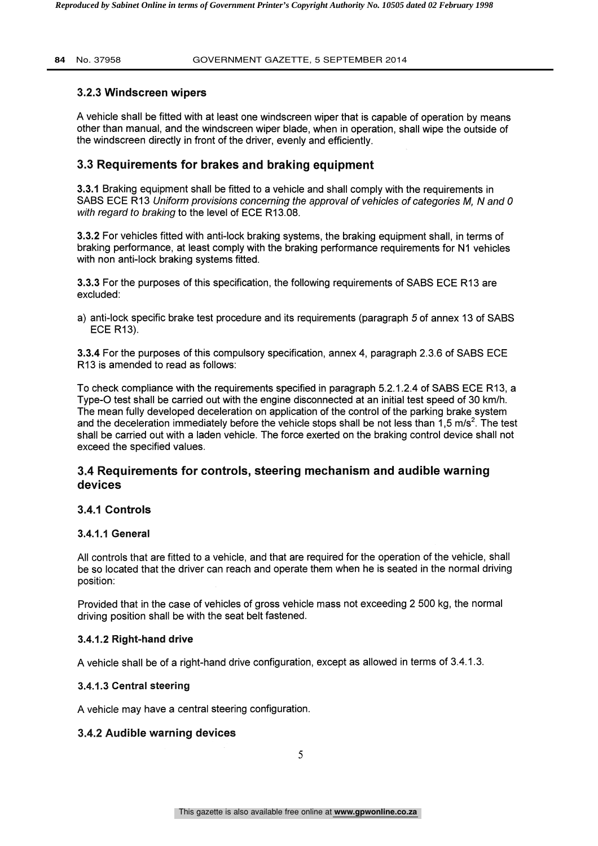## 3.2.3 Windscreen wipers

A vehicle shall be fitted with at least one windscreen wiper that is capable of operation by means other than manual, and the windscreen wiper blade, when in operation, shall wipe the outside of the windscreen directly in front of the driver, evenly and efficiently.

# 3.3 Requirements for brakes and braking equipment

3.3.1 Braking equipment shall be fitted to a vehicle and shall comply with the requirements in SABS ECE R13 Uniform provisions concerning the approval of vehicles of categories M, N and 0 with regard to braking to the level of ECE R13.08.

3.3.2 For vehicles fitted with anti-lock braking systems, the braking equipment shall, in terms of braking performance, at least comply with the braking performance requirements for N1 vehicles with non anti-lock braking systems fitted.

3.3.3 For the purposes of this specification, the following requirements of SABS ECE R13 are excluded:

a) anti-lock specific brake test procedure and its requirements (paragraph 5 of annex 13 of SABS ECE R13).

3.3.4 For the purposes of this compulsory specification, annex 4, paragraph 2.3.6 of SABS ECE R13 is amended to read as follows:

To check compliance with the requirements specified in paragraph 5.2.1.2.4 of SABS ECE R13, a Type-0 test shall be carried out with the engine disconnected at an initial test speed of 30 km/h. The mean fully developed deceleration on application of the control of the parking brake system and the deceleration immediately before the vehicle stops shall be not less than 1,5 m/s<sup>2</sup>. The test shall be carried out with a laden vehicle. The force exerted on the braking control device shall not exceed the specified values.

# 3.4 Requirements for controls, steering mechanism and audible warning devices

## 3.4.1 Controls

#### 3.4.1.1 General

All controls that are fitted to a vehicle, and that are required for the operation of the vehicle, shall be so located that the driver can reach and operate them when he is seated in the normal driving position:

Provided that in the case of vehicles of gross vehicle mass not exceeding 2 500 kg, the normal driving position shall be with the seat belt fastened.

## 3.4.1.2 Right-hand drive

A vehicle shall be of a right-hand drive configuration, except as allowed in terms of 3.4.1.3.

## 3.4.1.3 Central steering

A vehicle may have a central steering configuration.

## 3.4.2 Audible warning devices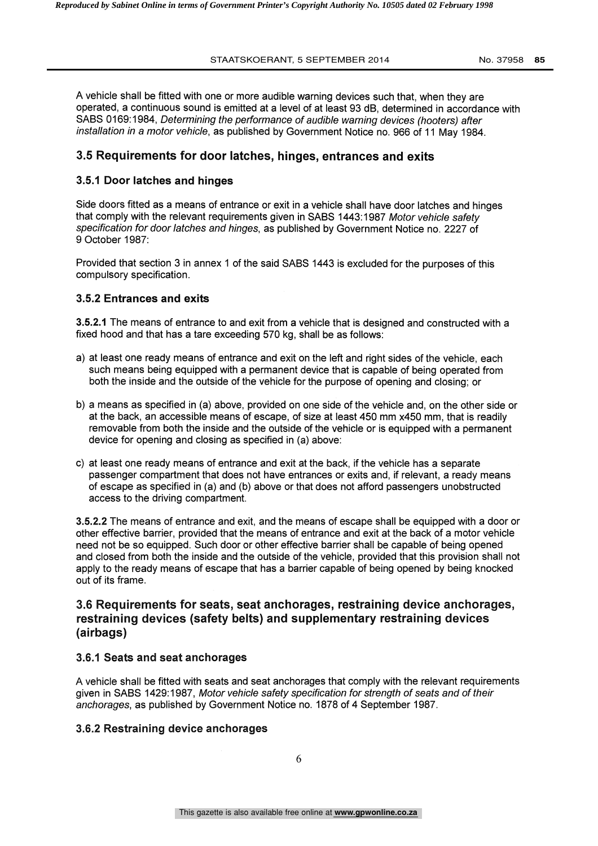A vehicle shall be fitted with one or more audible warning devices such that, when they are operated, a continuous sound is emitted at a level of at least 93 dB, determined in accordance with SABS 0169:1984, Determining the performance of audible warning devices (hooters) after installation in a motor vehicle, as published by Government Notice no. 966 of 11 May 1984.

#### 3.5 Requirements for door latches, hinges, entrances and exits

#### 3.5.1 Door latches and hinges

Side doors fitted as a means of entrance or exit in a vehicle shall have door latches and hinges that comply with the relevant requirements given in SABS 1443:1987 Motor vehicle safety specification for door latches and hinges, as published by Government Notice no. 2227 of 9 October 1987:

Provided that section 3 in annex 1 of the said SABS 1443 is excluded for the purposes of this compulsory specification.

#### 3.5.2 Entrances and exits

3.5.2.1 The means of entrance to and exit from a vehicle that is designed and constructed with a fixed hood and that has a tare exceeding 570 kg, shall be as follows:

- a) at least one ready means of entrance and exit on the left and right sides of the vehicle, each such means being equipped with a permanent device that is capable of being operated from both the inside and the outside of the vehicle for the purpose of opening and closing; or
- b) a means as specified in (a) above, provided on one side of the vehicle and, on the other side or at the back, an accessible means of escape, of size at least 450 mm x450 mm, that is readily removable from both the inside and the outside of the vehicle or is equipped with a permanent device for opening and closing as specified in (a) above:
- c) at least one ready means of entrance and exit at the back, if the vehicle has a separate passenger compartment that does not have entrances or exits and, if relevant, a ready means of escape as specified in (a) and (b) above or that does not afford passengers unobstructed access to the driving compartment.

3.5.2.2 The means of entrance and exit, and the means of escape shall be equipped with a door or other effective barrier, provided that the means of entrance and exit at the back of a motor vehicle need not be so equipped. Such door or other effective barrier shall be capable of being opened and closed from both the inside and the outside of the vehicle, provided that this provision shall not apply to the ready means of escape that has a barrier capable of being opened by being knocked out of its frame.

# 3.6 Requirements for seats, seat anchorages, restraining device anchorages, restraining devices (safety belts) and supplementary restraining devices (airbags)

#### 3.6.1 Seats and seat anchorages

A vehicle shall be fitted with seats and seat anchorages that comply with the relevant requirements given in SABS 1429:1987, Motor vehicle safety specification for strength of seats and of their anchorages, as published by Government Notice no. 1878 of 4 September 1987.

#### 3.6.2 Restraining device anchorages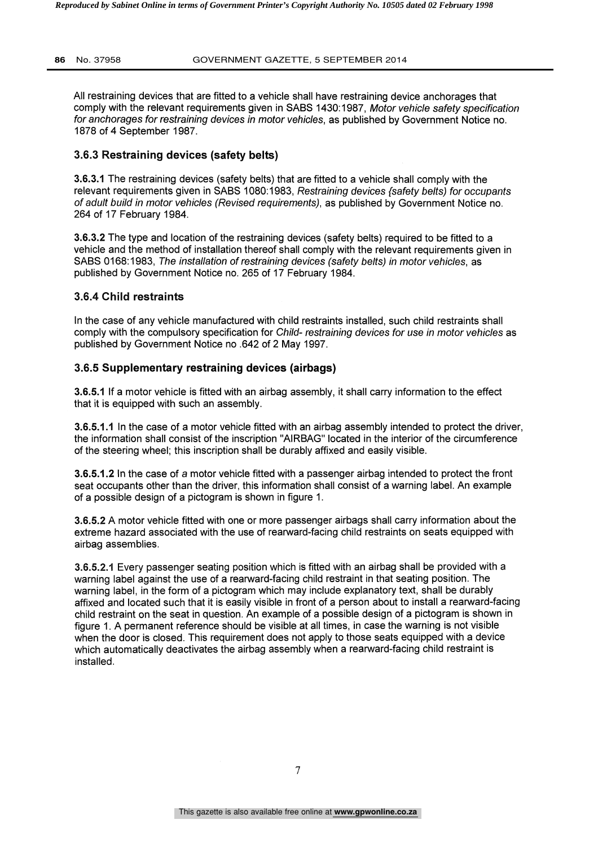All restraining devices that are fitted to a vehicle shall have restraining device anchorages that comply with the relevant requirements given in SABS 1430:1987, Motor vehicle safety specification for anchorages for restraining devices in motor vehicles, as published by Government Notice no. 1878 of 4 September 1987.

#### 3.6.3 Restraining devices (safety belts)

3.6.3.1 The restraining devices (safety belts) that are fitted to a vehicle shall comply with the relevant requirements given in SABS 1080:1983, Restraining devices (safety belts) for occupants of adult build in motor vehicles (Revised requirements), as published by Government Notice no. 264 of 17 February 1984.

3.6.3.2 The type and location of the restraining devices (safety belts) required to be fitted to a vehicle and the method of installation thereof shall comply with the relevant requirements given in SABS 0168:1983, The installation of restraining devices (safety belts) in motor vehicles, as published by Government Notice no. 265 of 17 February 1984.

#### 3.6.4 Child restraints

In the case of any vehicle manufactured with child restraints installed, such child restraints shall comply with the compulsory specification for Child- restraining devices for use in motor vehicles as published by Government Notice no .642 of 2 May 1997.

#### 3.6.5 Supplementary restraining devices (airbags)

3.6.5.1 If a motor vehicle is fitted with an airbag assembly, it shall carry information to the effect that it is equipped with such an assembly.

3.6.5.1.1 In the case of a motor vehicle fitted with an airbag assembly intended to protect the driver, the information shall consist of the inscription "AIRBAG" located in the interior of the circumference of the steering wheel; this inscription shall be durably affixed and easily visible.

3.6.5.1.2 In the case of a motor vehicle fitted with a passenger airbag intended to protect the front seat occupants other than the driver, this information shall consist of a warning label. An example of a possible design of a pictogram is shown in figure 1.

3.6.5.2 A motor vehicle fitted with one or more passenger airbags shall carry information about the extreme hazard associated with the use of rearward-facing child restraints on seats equipped with airbag assemblies.

3.6.5.2.1 Every passenger seating position which is fitted with an airbag shall be provided with a warning label against the use of a rearward-facing child restraint in that seating position. The warning label, in the form of a pictogram which may include explanatory text, shall be durably affixed and located such that it is easily visible in front of a person about to install a rearward-facing child restraint on the seat in question. An example of a possible design of a pictogram is shown in figure 1. A permanent reference should be visible at all times, in case the warning is not visible when the door is closed. This requirement does not apply to those seats equipped with a device which automatically deactivates the airbag assembly when a rearward-facing child restraint is installed.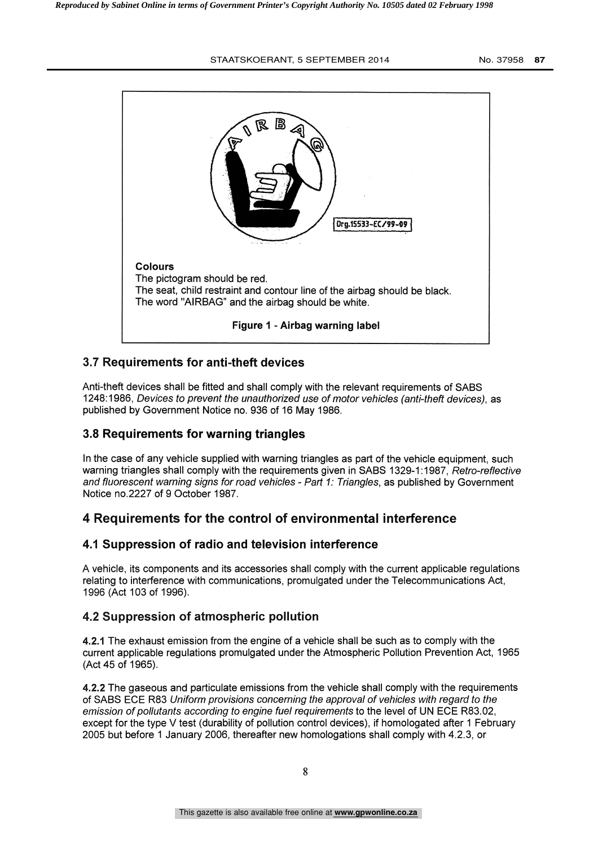

# 3.7 Requirements for anti-theft devices

Anti-theft devices shall be fitted and shall comply with the relevant requirements of SABS 1248:1986, Devices to prevent the unauthorized use of motor vehicles (anti-theft devices), as published by Government Notice no. 936 of 16 May 1986.

# 3.8 Requirements for warning triangles

In the case of any vehicle supplied with warning triangles as part of the vehicle equipment, such warning triangles shall comply with the requirements given in SABS 1329-1:1987, Retro-reflective and fluorescent warning signs for road vehicles - Part 1: Triangles, as published by Government Notice no.2227 of 9 October 1987.

# 4 Requirements for the control of environmental interference

## 4.1 Suppression of radio and television interference

A vehicle, its components and its accessories shall comply with the current applicable regulations relating to interference with communications, promulgated under the Telecommunications Act, 1996 (Act 103 of 1996).

# 4.2 Suppression of atmospheric pollution

4.2.1 The exhaust emission from the engine of a vehicle shall be such as to comply with the current applicable regulations promulgated under the Atmospheric Pollution Prevention Act, 1965 (Act 45 of 1965).

4.2.2 The gaseous and particulate emissions from the vehicle shall comply with the requirements of SABS ECE R83 Uniform provisions concerning the approval of vehicles with regard to the emission of pollutants according to engine fuel requirements to the level of UN ECE R83.02, except for the type V test (durability of pollution control devices), if homologated after 1 February 2005 but before 1 January 2006, thereafter new homologations shall comply with 4.2.3, or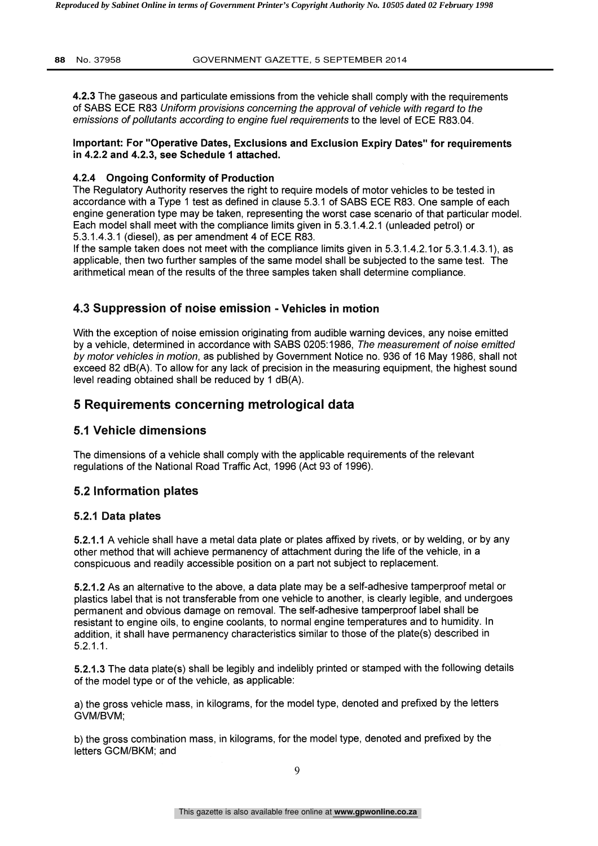4.2.3 The gaseous and particulate emissions from the vehicle shall comply with the requirements of SABS ECE R83 Uniform provisions concerning the approval of vehicle with regard to the emissions of pollutants according to engine fuel requirements to the level of ECE R83.04.

#### Important: For "Operative Dates, Exclusions and Exclusion Expiry Dates" for requirements in 4.2.2 and 4.2.3, see Schedule 1 attached.

## 4.2.4 Ongoing Conformity of Production

The Regulatory Authority reserves the right to require models of motor vehicles to be tested in accordance with a Type 1 test as defined in clause 5.3.1 of SABS ECE R83. One sample of each engine generation type may be taken, representing the worst case scenario of that particular model. Each model shall meet with the compliance limits given in 5.3.1.4.2.1 (unleaded petrol) or 5.3.1.4.3.1 (diesel), as per amendment 4 of ECE R83.

If the sample taken does not meet with the compliance limits given in 5.3.1.4.2.1or 5.3.1.4.3.1), as applicable, then two further samples of the same model shall be subjected to the same test. The arithmetical mean of the results of the three samples taken shall determine compliance.

# 4.3 Suppression of noise emission - Vehicles in motion

With the exception of noise emission originating from audible warning devices, any noise emitted by a vehicle, determined in accordance with SABS 0205:1986, The measurement of noise emitted by motor vehicles in motion, as published by Government Notice no. 936 of 16 May 1986, shall not exceed 82 dB(A). To allow for any lack of precision in the measuring equipment, the highest sound level reading obtained shall be reduced by 1 dB(A).

# 5 Requirements concerning metrological data

# 5.1 Vehicle dimensions

The dimensions of a vehicle shall comply with the applicable requirements of the relevant regulations of the National Road Traffic Act, 1996 (Act 93 of 1996).

# 5.2 Information plates

## 5.2.1 Data plates

5.2.1.1 A vehicle shall have a metal data plate or plates affixed by rivets, or by welding, or by any other method that will achieve permanency of attachment during the life of the vehicle, in a conspicuous and readily accessible position on a part not subject to replacement.

5.2.1.2 As an alternative to the above, a data plate may be a self-adhesive tamperproof metal or plastics label that is not transferable from one vehicle to another, is clearly legible, and undergoes permanent and obvious damage on removal. The self-adhesive tamperproof label shall be resistant to engine oils, to engine coolants, to normal engine temperatures and to humidity. In addition, it shall have permanency characteristics similar to those of the plate(s) described in 5.2.1.1.

5.2.1.3 The data plate(s) shall be legibly and indelibly printed or stamped with the following details of the model type or of the vehicle, as applicable:

a) the gross vehicle mass, in kilograms, for the model type, denoted and prefixed by the letters GVM/BVM;

b) the gross combination mass, in kilograms, for the model type, denoted and prefixed by the letters GCM/BKM; and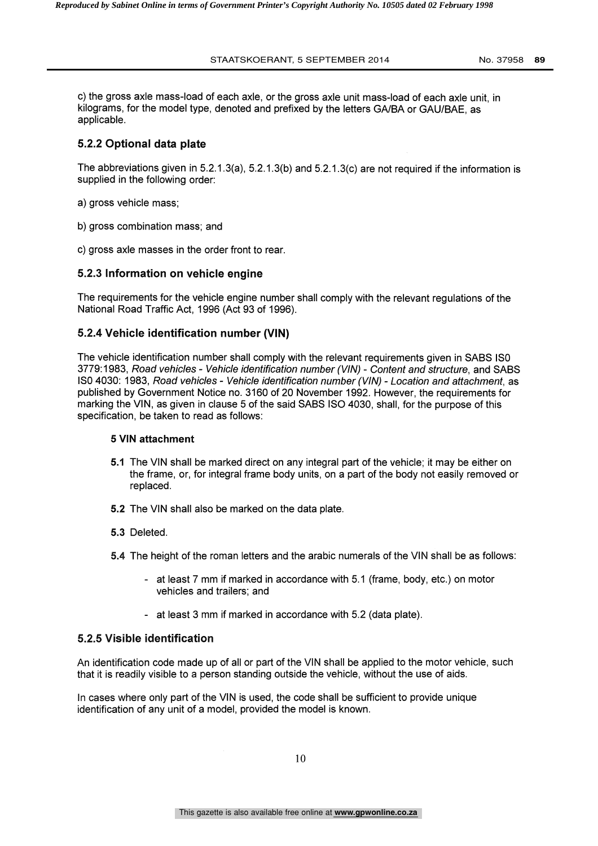c) the gross axle mass-load of each axle, or the gross axle unit mass-load of each axle unit, in kilograms, for the model type, denoted and prefixed by the letters GA/BA or GAU/BAE, as applicable.

## 5.2.2 Optional data plate

The abbreviations given in 5.2.1.3(a), 5.2.1.3(b) and 5.2.1.3(c) are not required if the information is supplied in the following order:

- a) gross vehicle mass;
- b) gross combination mass; and
- c) gross axle masses in the order front to rear.

#### 5.2.3 Information on vehicle engine

The requirements for the vehicle engine number shall comply with the relevant regulations of the National Road Traffic Act, 1996 (Act 93 of 1996).

#### 5.2.4 Vehicle identification number (VIN)

The vehicle identification number shall comply with the relevant requirements given in SABS ISO 3779:1983, Road vehicles - Vehicle identification number (VIN) - Content and structure, and SABS ISO 4030: 1983, Road vehicles - Vehicle identification number (VIN) - Location and attachment, as published by Government Notice no. 3160 of 20 November 1992. However, the requirements for marking the VIN, as given in clause 5 of the said SABS ISO 4030, shall, for the purpose of this specification, be taken to read as follows:

#### 5 VIN attachment

- 5.1 The VIN shall be marked direct on any integral part of the vehicle; it may be either on the frame, or, for integral frame body units, on a part of the body not easily removed or replaced.
- 6.2 The VIN shall also be marked on the data plate.
- 5.3 Deleted.
- 5.4 The height of the roman letters and the arabic numerals of the VIN shall be as follows:
	- at least 7 mm if marked in accordance with 5.1 (frame, body, etc.) on motor vehicles and trailers; and
	- at least 3 mm if marked in accordance with 5.2 (data plate).

#### 5.2.5 Visible identification

An identification code made up of all or part of the VIN shall be applied to the motor vehicle, such that it is readily visible to a person standing outside the vehicle, without the use of aids.

In cases where only part of the VIN is used, the code shall be sufficient to provide unique identification of any unit of a model, provided the model is known.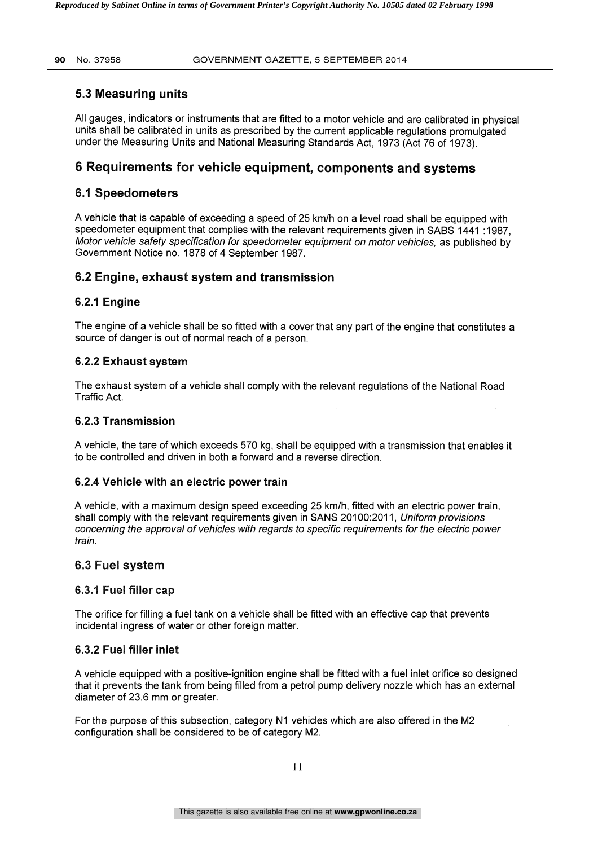## 5.3 Measuring units

All gauges, indicators or instruments that are fitted to a motor vehicle and are calibrated in physical units shall be calibrated in units as prescribed by the current applicable regulations promulgated under the Measuring Units and National Measuring Standards Act, 1973 (Act 76 of 1973).

# 6 Requirements for vehicle equipment, components and systems

## 6.1 Speedometers

A vehicle that is capable of exceeding a speed of 25 km/h on a level road shall be equipped with speedometer equipment that complies with the relevant requirements given in SABS 1441 :1987, Motor vehicle safety specification for speedometer equipment on motor vehicles, as published by Government Notice no. 1878 of 4 September 1987.

## 6.2 Engine, exhaust system and transmission

#### 6.2.1 Engine

The engine of a vehicle shall be so fitted with a cover that any part of the engine that constitutes a source of danger is out of normal reach of a person.

#### 6.2.2 Exhaust system

The exhaust system of a vehicle shall comply with the relevant regulations of the National Road Traffic Act.

#### 6.2.3 Transmission

A vehicle, the tare of which exceeds 570 kg, shall be equipped with a transmission that enables it to be controlled and driven in both a forward and a reverse direction.

#### 6.2.4 Vehicle with an electric power train

A vehicle, with a maximum design speed exceeding 25 km/h, fitted with an electric power train, shall comply with the relevant requirements given in SANS 20100:2011, Uniform provisions concerning the approval of vehicles with regards to specific requirements for the electric power train.

#### 6.3 Fuel system

#### 6.3.1 Fuel filler cap

The orifice for filling a fuel tank on a vehicle shall be fitted with an effective cap that prevents incidental ingress of water or other foreign matter.

#### 6.3.2 Fuel filler inlet

A vehicle equipped with a positive-ignition engine shall be fitted with a fuel inlet orifice so designed that it prevents the tank from being filled from a petrol pump delivery nozzle which has an external diameter of 23.6 mm or greater.

For the purpose of this subsection, category N1 vehicles which are also offered in the M2 configuration shall be considered to be of category M2.

11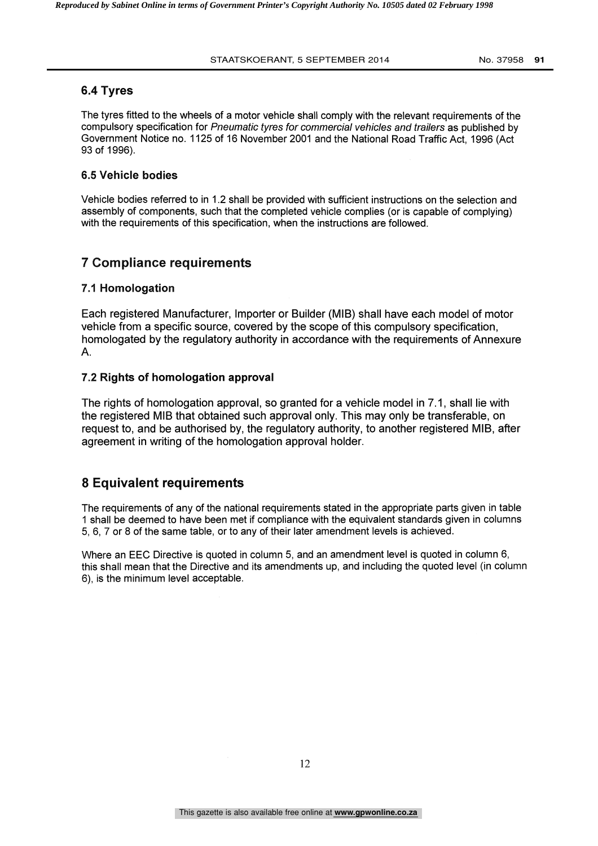#### 6.4 Tyres

The tyres fitted to the wheels of a motor vehicle shall comply with the relevant requirements of the compulsory specification for Pneumatic tyres for commercial vehicles and trailers as published by Government Notice no. 1125 of 16 November 2001 and the National Road Traffic Act, 1996 (Act 93 of 1996).

#### 6.5 Vehicle bodies

Vehicle bodies referred to in 1.2 shall be provided with sufficient instructions on the selection and assembly of components, such that the completed vehicle complies (or is capable of complying) with the requirements of this specification, when the instructions are followed.

#### 7 Compliance requirements

#### 7.1 Homologation

Each registered Manufacturer, Importer or Builder (MIB) shall have each model of motor vehicle from a specific source, covered by the scope of this compulsory specification, homologated by the regulatory authority in accordance with the requirements of Annexure A.

#### 7.2 Rights of homologation approval

The rights of homologation approval, so granted for a vehicle model in 7.1, shall lie with the registered MIB that obtained such approval only. This may only be transferable, on request to, and be authorised by, the regulatory authority, to another registered MIB, after agreement in writing of the homologation approval holder.

## 8 Equivalent requirements

The requirements of any of the national requirements stated in the appropriate parts given in table 1 shall be deemed to have been met if compliance with the equivalent standards given in columns 5, 6, 7 or 8 of the same table, or to any of their later amendment levels is achieved.

Where an EEC Directive is quoted in column 5, and an amendment level is quoted in column 6, this shall mean that the Directive and its amendments up, and including the quoted level (in column 6), is the minimum level acceptable.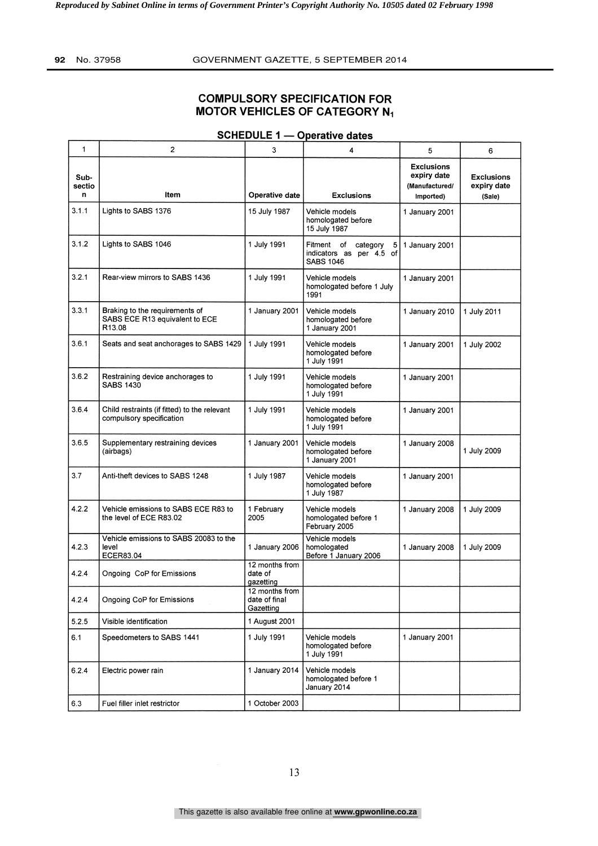#### COMPULSORY SPECIFICATION FOR MOTOR VEHICLES OF CATEGORY N1

#### 1 | 2 | 3 | 4 | 5 | 6 | Subsectio<br>n Item | Operative date | Exclusions Exclusions expiry date (Manufactured/ Imported) Exclusions expiry date (Sale) 3.1.1 | Lights to SABS 1376 | 15 July 1987 | Vehicle models homologated before 15 July 1987 1 January 2001 1.1 Lights to SABS 1376 15 July 1987<br>
3.1.2 Lights to SABS 1046 1 July 1991<br>
1 July 1991 Fitment of category 5 1 January<br>
1 July 1991 Fitment of category 5 1 January<br>
1 SABS 1046 1 July 1991 Fitment of category 5 1 January Fitment of category 5<br>indicators as per 4.5 of SABS 1046 1 January 2001 3.2.1 | Rear-view mirrors to SABS 1436 | 1 July 1991 | Vehicle models homologated before 1 July 1991 1 January 2001 3.3.1 Braking to the requirements of SABS ECE R13 equivalent to ECE R13.08 1 January 2001 Vehicle models homologated before 1 January 2001 1 January 2010 1 July 2011 3.6.1 Seats and seat anchorages to SABS 1429 1 July 1991 Vehicle models homologated before 1 July 1991 1 January 2001 1 July 2002 3.6.2 Restraining device anchorages to | 1 July 1991 SABS 1430 Vehicle models homologated before 1 July 1991 1 January 2001 3.6.4 Child restraints (if fitted) to the relevant 1 July 1991 compulsory specification Vehicle models homologated before 1 July 1991 1 January 2001 3.6.5 Supplementary restraining devices | 1 January 2001 (airbags) Vehicle models homologated before 1 January 2001 1 January 2008 1 July 2009 3.7 | Anti-theft devices to SABS 1248 | 1 July 1987 | Vehicle models homologated before 1 July 1987 1 January 2001 4.2.2 | Vehicle emissions to SABS ECE R83 to the level of ECE R83.02 1 February 2005 Vehicle models homologated before 1 February 2005 1 January 2001<br>
1 January 2008 1 July 2009 4.2.3 level Vehicle emissions to SABS 20083 to the ECER83.04 1 January 2006 Vehicle models homologated Before 1 January 2006 1 January 2008 1 July 2009 4.2.4 Ongoing CoP for Emissions 12 months from date of gazetting 4.2.4 Ongoing CoP for Emissions 12 months from date of final **Gazetting** 5.2.5 | Visible identification | 1 August 2001 6.1 Speedometers to SABS 1441 | 1 July 1991 | Vehicle models homologated before 1 July 1991 1 January 2001 6.2.4 Electric power rain 1 January 2014 Vehicle models homologated before 1 January 2014 6.3 | Fuel filler inlet restrictor | 1 October 2003

#### **SCHEDULE 1 - Operative dates**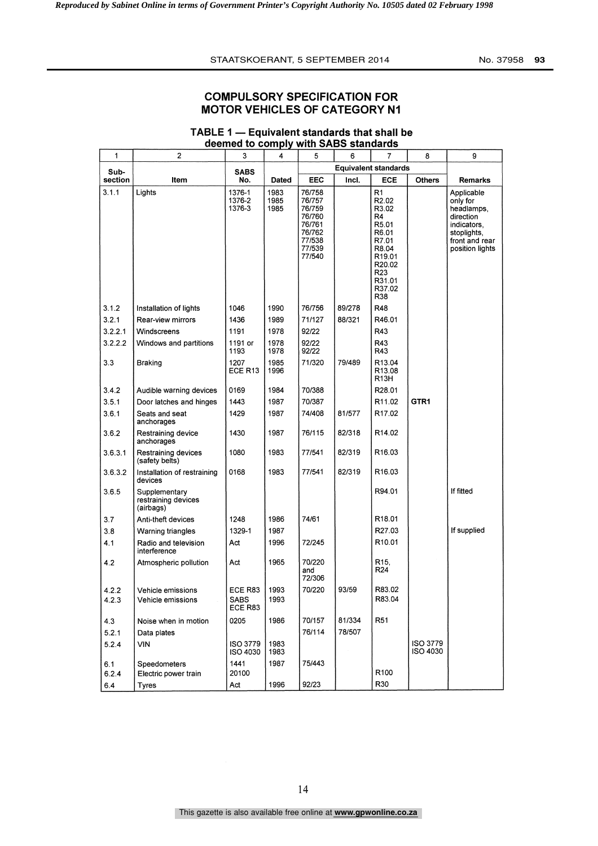## COMPULSORY SPECIFICATION FOR MOTOR VEHICLES OF CATEGORY Ni

|  | 1               | 2                                                 | 3                           | 4                    | 5                                                                                      | 6<br>7 |                                                                                                                                                                      | 8                           | 9                                                                                                                    |
|--|-----------------|---------------------------------------------------|-----------------------------|----------------------|----------------------------------------------------------------------------------------|--------|----------------------------------------------------------------------------------------------------------------------------------------------------------------------|-----------------------------|----------------------------------------------------------------------------------------------------------------------|
|  | Sub-<br>section | Item                                              | <b>SABS</b><br>No.          |                      |                                                                                        |        | <b>Equivalent standards</b>                                                                                                                                          |                             | <b>Remarks</b>                                                                                                       |
|  |                 |                                                   |                             | Dated                | EEC                                                                                    | Incl.  | <b>ECE</b>                                                                                                                                                           | <b>Others</b>               |                                                                                                                      |
|  | 3.1.1           | Lights                                            | 1376-1<br>1376-2<br>1376-3  | 1983<br>1985<br>1985 | 76/758<br>76/757<br>76/759<br>76/760<br>76/761<br>76/762<br>77/538<br>77/539<br>77/540 |        | R <sub>1</sub><br>R <sub>2.02</sub><br>R3.02<br>R4<br>R5.01<br>R6.01<br>R7.01<br>R8.04<br>R <sub>19.01</sub><br>R20.02<br>R <sub>23</sub><br>R31.01<br>R37.02<br>R38 |                             | Applicable<br>only for<br>headlamps,<br>direction<br>indicators,<br>stoplights,<br>front and rear<br>position lights |
|  | 3.1.2           | Installation of lights                            | 1046                        | 1990                 | 76/756                                                                                 | 89/278 | <b>R48</b>                                                                                                                                                           |                             |                                                                                                                      |
|  | 3.2.1           | Rear-view mirrors                                 | 1436                        | 1989                 | 71/127                                                                                 | 88/321 | R46.01                                                                                                                                                               |                             |                                                                                                                      |
|  | 3.2.2.1         | Windscreens                                       | 1191                        | 1978                 | 92/22                                                                                  |        | R43                                                                                                                                                                  |                             |                                                                                                                      |
|  | 3.2.2.2         | Windows and partitions                            | 1191 or<br>1193             | 1978<br>1978         | 92/22<br>92/22                                                                         |        | R43<br>R43                                                                                                                                                           |                             |                                                                                                                      |
|  | 3.3             | Braking                                           | 1207<br>ECE R13             | 1985<br>1996         | 71/320                                                                                 | 79/489 | R13.04<br>R <sub>13.08</sub><br>R <sub>13</sub> H                                                                                                                    |                             |                                                                                                                      |
|  | 3.4.2           | Audible warning devices                           | 0169                        | 1984                 | 70/388                                                                                 |        | R <sub>28.01</sub>                                                                                                                                                   |                             |                                                                                                                      |
|  | 3.5.1           | Door latches and hinges                           | 1443                        | 1987                 | 70/387                                                                                 |        | R11.02                                                                                                                                                               | GTR1                        |                                                                                                                      |
|  | 3.6.1           | Seats and seat<br>anchorages                      | 1429                        | 1987                 | 74/408                                                                                 | 81/577 | R <sub>17.02</sub>                                                                                                                                                   |                             |                                                                                                                      |
|  | 3.6.2           | Restraining device<br>anchorages                  | 1430                        | 1987                 | 76/115                                                                                 | 82/318 | R <sub>14.02</sub>                                                                                                                                                   |                             |                                                                                                                      |
|  | 3.6.3.1         | Restraining devices<br>(safety belts)             | 1080                        | 1983                 | 77/541                                                                                 | 82/319 | R <sub>16.03</sub>                                                                                                                                                   |                             |                                                                                                                      |
|  | 3.6.3.2         | Installation of restraining<br>devices            | 0168                        | 1983                 | 77/541                                                                                 | 82/319 | R <sub>16.03</sub>                                                                                                                                                   |                             |                                                                                                                      |
|  | 3.6.5           | Supplementary<br>restraining devices<br>(airbags) |                             |                      |                                                                                        |        | R94.01                                                                                                                                                               |                             | If fitted                                                                                                            |
|  | 3.7             | Anti-theft devices                                | 1248                        | 1986                 | 74/61                                                                                  |        | R <sub>18.01</sub>                                                                                                                                                   |                             |                                                                                                                      |
|  | 3.8             | Warning triangles                                 | 1329-1                      | 1987                 |                                                                                        |        | R27.03                                                                                                                                                               |                             | If supplied                                                                                                          |
|  | 4.1             | Radio and television<br>interference              | Act                         | 1996                 | 72/245                                                                                 |        | R10.01                                                                                                                                                               |                             |                                                                                                                      |
|  | 4.2             | Atmospheric pollution                             | Act                         | 1965                 | 70/220<br>and<br>72/306                                                                |        | R <sub>15</sub><br>R <sub>24</sub>                                                                                                                                   |                             |                                                                                                                      |
|  | 4.2.2           | Vehicle emissions                                 | ECE R83                     | 1993                 | 70/220                                                                                 | 93/59  | R83.02                                                                                                                                                               |                             |                                                                                                                      |
|  | 4.Z.3           | Venicle emissions                                 | <b>SABS</b><br>ECE R83      | 1993                 |                                                                                        |        | R83.04                                                                                                                                                               |                             |                                                                                                                      |
|  | 4.3             | Noise when in motion                              | 0205                        | 1986                 | 70/157                                                                                 | 81/334 | R <sub>51</sub>                                                                                                                                                      |                             |                                                                                                                      |
|  | 5.2.1           | Data plates                                       |                             |                      | 76/114                                                                                 | 78/507 |                                                                                                                                                                      |                             |                                                                                                                      |
|  | 5.2.4           | VIN                                               | <b>ISO 3779</b><br>ISO 4030 | 1983<br>1983         |                                                                                        |        |                                                                                                                                                                      | <b>ISO 3779</b><br>ISO 4030 |                                                                                                                      |
|  | 6.1             | Speedometers                                      | 1441                        | 1987                 | 75/443                                                                                 |        |                                                                                                                                                                      |                             |                                                                                                                      |
|  | 6.2.4           | Electric power train                              | 20100                       |                      |                                                                                        |        | R <sub>100</sub>                                                                                                                                                     |                             |                                                                                                                      |
|  | 6.4             | Tyres                                             | Act                         | 1996                 | 92/23                                                                                  |        | R30                                                                                                                                                                  |                             |                                                                                                                      |

#### TABLE 1  $-$  Equivalent standards that shall be deemed to comply with SABS standards